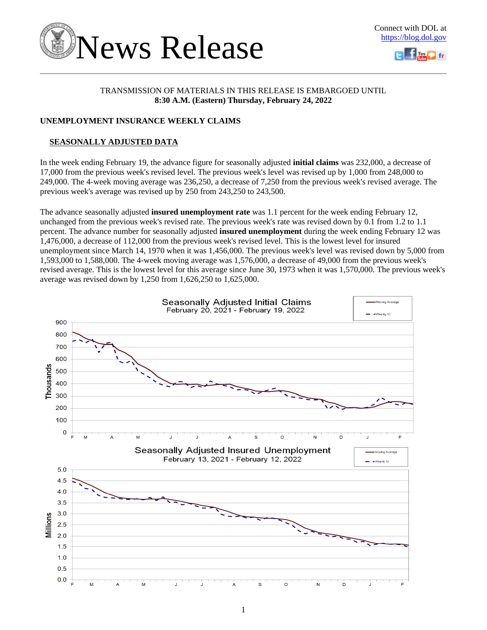



# TRANSMISSION OF MATERIALS IN THIS RELEASE IS EMBARGOED UNTIL **8:30 A.M. (Eastern) Thursday, February 24, 2022**

# **UNEMPLOYMENT INSURANCE WEEKLY CLAIMS**

# **SEASONALLY ADJUSTED DATA**

In the week ending February 19, the advance figure for seasonally adjusted **initial claims** was 232,000, a decrease of 17,000 from the previous week's revised level. The previous week's level was revised up by 1,000 from 248,000 to 249,000. The 4-week moving average was 236,250, a decrease of 7,250 from the previous week's revised average. The previous week's average was revised up by 250 from 243,250 to 243,500.

The advance seasonally adjusted **insured unemployment rate** was 1.1 percent for the week ending February 12, unchanged from the previous week's revised rate. The previous week's rate was revised down by 0.1 from 1.2 to 1.1 percent. The advance number for seasonally adjusted **insured unemployment** during the week ending February 12 was 1,476,000, a decrease of 112,000 from the previous week's revised level. This is the lowest level for insured unemployment since March 14, 1970 when it was 1,456,000. The previous week's level was revised down by 5,000 from 1,593,000 to 1,588,000. The 4-week moving average was 1,576,000, a decrease of 49,000 from the previous week's revised average. This is the lowest level for this average since June 30, 1973 when it was 1,570,000. The previous week's average was revised down by 1,250 from 1,626,250 to 1,625,000.

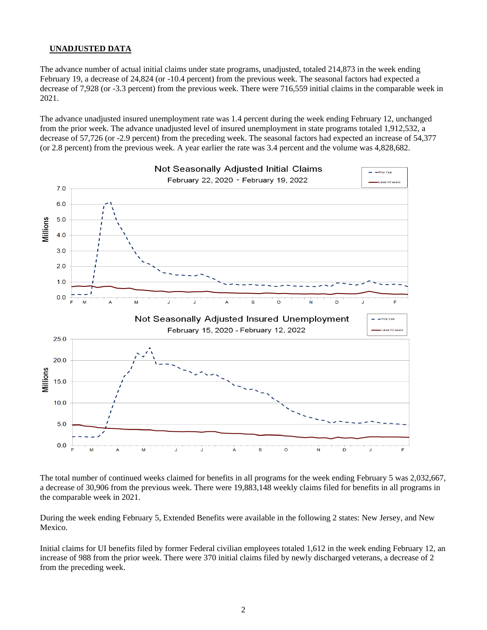## **UNADJUSTED DATA**

The advance number of actual initial claims under state programs, unadjusted, totaled 214,873 in the week ending February 19, a decrease of 24,824 (or -10.4 percent) from the previous week. The seasonal factors had expected a decrease of 7,928 (or -3.3 percent) from the previous week. There were 716,559 initial claims in the comparable week in 2021.

The advance unadjusted insured unemployment rate was 1.4 percent during the week ending February 12, unchanged from the prior week. The advance unadjusted level of insured unemployment in state programs totaled 1,912,532, a decrease of 57,726 (or -2.9 percent) from the preceding week. The seasonal factors had expected an increase of 54,377 (or 2.8 percent) from the previous week. A year earlier the rate was 3.4 percent and the volume was 4,828,682.



The total number of continued weeks claimed for benefits in all programs for the week ending February 5 was 2,032,667, a decrease of 30,906 from the previous week. There were 19,883,148 weekly claims filed for benefits in all programs in the comparable week in 2021.

During the week ending February 5, Extended Benefits were available in the following 2 states: New Jersey, and New Mexico.

Initial claims for UI benefits filed by former Federal civilian employees totaled 1,612 in the week ending February 12, an increase of 988 from the prior week. There were 370 initial claims filed by newly discharged veterans, a decrease of 2 from the preceding week.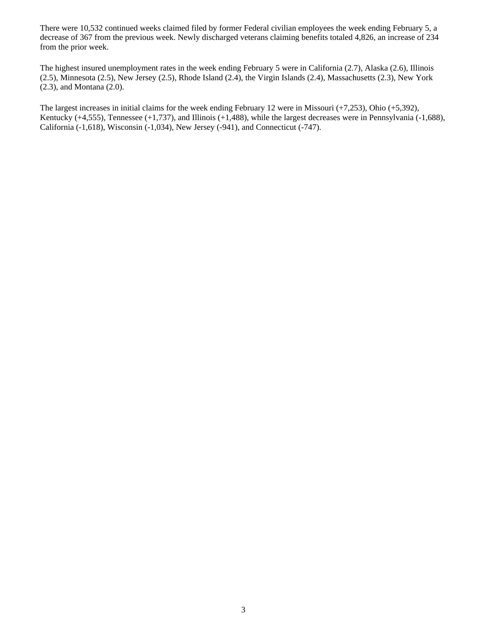There were 10,532 continued weeks claimed filed by former Federal civilian employees the week ending February 5, a decrease of 367 from the previous week. Newly discharged veterans claiming benefits totaled 4,826, an increase of 234 from the prior week.

The highest insured unemployment rates in the week ending February 5 were in California (2.7), Alaska (2.6), Illinois (2.5), Minnesota (2.5), New Jersey (2.5), Rhode Island (2.4), the Virgin Islands (2.4), Massachusetts (2.3), New York (2.3), and Montana (2.0).

The largest increases in initial claims for the week ending February 12 were in Missouri (+7,253), Ohio (+5,392), Kentucky (+4,555), Tennessee (+1,737), and Illinois (+1,488), while the largest decreases were in Pennsylvania (-1,688), California (-1,618), Wisconsin (-1,034), New Jersey (-941), and Connecticut (-747).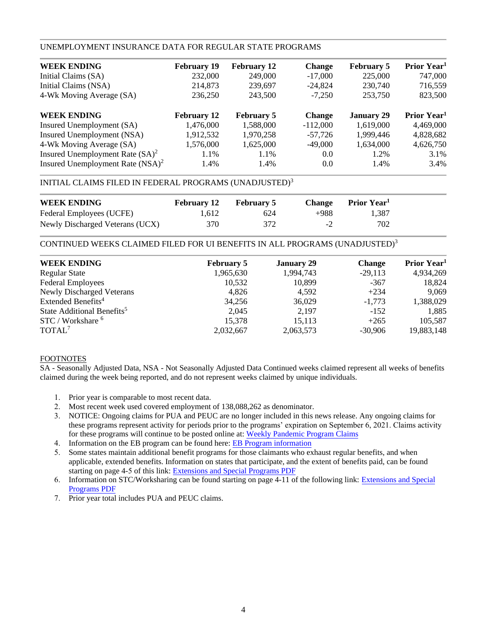# UNEMPLOYMENT INSURANCE DATA FOR REGULAR STATE PROGRAMS

| <b>February 19</b> | <b>February 12</b> | <b>Change</b> | <b>February 5</b> | Prior Year <sup>1</sup> |
|--------------------|--------------------|---------------|-------------------|-------------------------|
| 232,000            | 249,000            | $-17,000$     | 225,000           | 747,000                 |
| 214,873            | 239,697            | $-24,824$     | 230,740           | 716,559                 |
| 236,250            | 243,500            | $-7,250$      | 253,750           | 823,500                 |
| <b>February 12</b> | <b>February 5</b>  | <b>Change</b> | <b>January 29</b> | Prior Year <sup>1</sup> |
| 1,476,000          | 1,588,000          | $-112,000$    | 1,619,000         | 4,469,000               |
| 1,912,532          | 1,970,258          | $-57.726$     | 1,999,446         | 4,828,682               |
| 1,576,000          | 1,625,000          | $-49,000$     | 1,634,000         | 4,626,750               |
| 1.1%               | 1.1%               | 0.0           | 1.2%              | 3.1%                    |
| 1.4%               | 1.4%               | 0.0           | 1.4%              | 3.4%                    |
|                    |                    |               |                   |                         |

# INITIAL CLAIMS FILED IN FEDERAL PROGRAMS (UNADJUSTED)<sup>3</sup>

| <b>WEEK ENDING</b>              | <b>February 12</b> | <b>February 5</b> |      | Change Prior Year <sup>1</sup> |  |
|---------------------------------|--------------------|-------------------|------|--------------------------------|--|
| Federal Employees (UCFE)        | 1.612              | 624               | +988 | 1.387                          |  |
| Newly Discharged Veterans (UCX) | 370                | 372               | $-2$ | 702                            |  |

CONTINUED WEEKS CLAIMED FILED FOR UI BENEFITS IN ALL PROGRAMS (UNADJUSTED)<sup>3</sup>

| <b>WEEK ENDING</b>                     | <b>February 5</b> | <b>January 29</b> | <b>Change</b> | Prior Year <sup>1</sup> |
|----------------------------------------|-------------------|-------------------|---------------|-------------------------|
| <b>Regular State</b>                   | 1,965,630         | 1,994,743         | $-29,113$     | 4,934,269               |
| <b>Federal Employees</b>               | 10,532            | 10,899            | $-367$        | 18,824                  |
| <b>Newly Discharged Veterans</b>       | 4,826             | 4.592             | $+234$        | 9,069                   |
| Extended Benefits <sup>4</sup>         | 34,256            | 36,029            | $-1,773$      | 1,388,029               |
| State Additional Benefits <sup>5</sup> | 2,045             | 2,197             | $-152$        | 1,885                   |
| STC / Workshare <sup>6</sup>           | 15,378            | 15,113            | $+265$        | 105,587                 |
| TOTAL <sup>7</sup>                     | 2,032,667         | 2,063,573         | $-30.906$     | 19,883,148              |
|                                        |                   |                   |               |                         |

## FOOTNOTES

SA - Seasonally Adjusted Data, NSA - Not Seasonally Adjusted Data Continued weeks claimed represent all weeks of benefits claimed during the week being reported, and do not represent weeks claimed by unique individuals.

- 1. Prior year is comparable to most recent data.
- 2. Most recent week used covered employment of 138,088,262 as denominator.
- 3. NOTICE: Ongoing claims for PUA and PEUC are no longer included in this news release. Any ongoing claims for these programs represent activity for periods prior to the programs' expiration on September 6, 2021. Claims activity for these programs will continue to be posted online at[: Weekly Pandemic Program Claims](https://oui.doleta.gov/unemploy/docs/weekly_pandemic_claims.xlsx)
- 4. Information on the EB program can be found here: [EB Program information](https://oui.doleta.gov/unemploy/extenben.asp)
- 5. Some states maintain additional benefit programs for those claimants who exhaust regular benefits, and when applicable, extended benefits. Information on states that participate, and the extent of benefits paid, can be found starting on page 4-5 of this link: [Extensions and Special Programs PDF](https://oui.doleta.gov/unemploy/pdf/uilawcompar/2021/special.pdf#page=5)
- 6. Information on STC/Worksharing can be found starting on page 4-11 of the following link: [Extensions and Special](https://oui.doleta.gov/unemploy/pdf/uilawcompar/2021/special.pdf#page=11) [Programs PDF](https://oui.doleta.gov/unemploy/pdf/uilawcompar/2021/special.pdf#page=11)
- 7. Prior year total includes PUA and PEUC claims.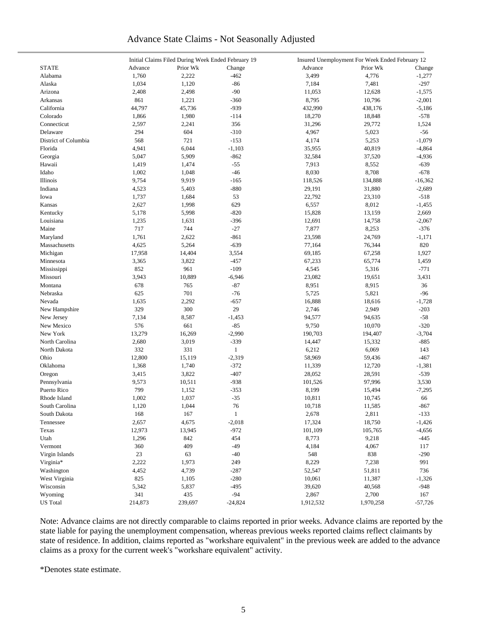# Advance State Claims - Not Seasonally Adjusted

|                      | Initial Claims Filed During Week Ended February 19 |          |                   |           | Insured Unemployment For Week Ended February 12 |           |
|----------------------|----------------------------------------------------|----------|-------------------|-----------|-------------------------------------------------|-----------|
| <b>STATE</b>         | Advance                                            | Prior Wk | Change            | Advance   | Prior Wk                                        | Change    |
| Alabama              | 1,760                                              | 2,222    | $-462$            | 3,499     | 4,776                                           | $-1,277$  |
| Alaska               | 1,034                                              | 1,120    | $-86$             | 7,184     | 7,481                                           | $-297$    |
| Arizona              | 2,408                                              | 2,498    | $-90$             | 11,053    | 12,628                                          | $-1,575$  |
| Arkansas             | 861                                                | 1,221    | $-360$            | 8,795     | 10,796                                          | $-2,001$  |
| California           | 44,797                                             | 45,736   | $-939$            | 432,990   | 438,176                                         | $-5,186$  |
| Colorado             | 1,866                                              | 1,980    | $-114$            | 18,270    | 18,848                                          | $-578$    |
| Connecticut          | 2,597                                              | 2,241    | 356               | 31,296    | 29,772                                          | 1,524     |
| Delaware             | 294                                                | 604      | $-310$            | 4,967     | 5,023                                           | $-56$     |
|                      |                                                    |          |                   |           |                                                 |           |
| District of Columbia | 568                                                | 721      | $-153$            | 4,174     | 5,253                                           | $-1,079$  |
| Florida              | 4,941                                              | 6,044    | $-1,103$          | 35,955    | 40,819                                          | $-4,864$  |
| Georgia              | 5,047                                              | 5,909    | $-862$            | 32,584    | 37,520                                          | $-4,936$  |
| Hawaii               | 1,419                                              | 1,474    | $-55$             | 7,913     | 8,552                                           | $-639$    |
| Idaho                | 1,002                                              | 1,048    | $-46$             | 8,030     | 8,708                                           | $-678$    |
| Illinois             | 9,754                                              | 9,919    | $-165$            | 118,526   | 134,888                                         | $-16,362$ |
| Indiana              | 4,523                                              | 5,403    | $-880$            | 29,191    | 31,880                                          | $-2,689$  |
| Iowa                 | 1,737                                              | 1,684    | 53                | 22,792    | 23,310                                          | $-518$    |
| Kansas               | 2,627                                              | 1,998    | 629               | 6,557     | 8,012                                           | $-1,455$  |
| Kentucky             | 5,178                                              | 5,998    | $-820$            | 15,828    | 13,159                                          | 2,669     |
| Louisiana            | 1,235                                              | 1,631    | $-396$            | 12,691    | 14,758                                          | $-2,067$  |
| Maine                | 717                                                | 744      | $-27$             | 7,877     | 8,253                                           | $-376$    |
| Maryland             | 1,761                                              | 2,622    | $-861$            | 23,598    | 24,769                                          | $-1,171$  |
| Massachusetts        | 4,625                                              | 5,264    | $-639$            | 77,164    | 76,344                                          | 820       |
| Michigan             | 17,958                                             | 14,404   | 3,554             | 69,185    | 67,258                                          | 1,927     |
| Minnesota            | 3,365                                              | 3,822    | $-457$            | 67,233    | 65,774                                          | 1,459     |
| Mississippi          | 852                                                | 961      | $-109$            | 4,545     | 5,316                                           | $-771$    |
| Missouri             | 3,943                                              | 10,889   | $-6,946$          | 23,082    | 19,651                                          | 3,431     |
| Montana              | 678                                                | 765      | $-87$             | 8,951     | 8,915                                           | 36        |
| Nebraska             | 625                                                | 701      | $-76$             | 5,725     | 5,821                                           | $-96$     |
| Nevada               | 1,635                                              | 2,292    | $-657$            | 16,888    | 18,616                                          | $-1,728$  |
| New Hampshire        | 329                                                | 300      | 29                | 2,746     | 2,949                                           | $-203$    |
| New Jersey           | 7,134                                              | 8,587    |                   | 94,577    | 94,635                                          | $-58$     |
|                      |                                                    |          | $-1,453$<br>$-85$ |           |                                                 |           |
| New Mexico           | 576                                                | 661      |                   | 9,750     | 10,070                                          | $-320$    |
| New York             | 13,279                                             | 16,269   | $-2,990$          | 190,703   | 194,407                                         | $-3,704$  |
| North Carolina       | 2,680                                              | 3,019    | $-339$            | 14,447    | 15,332                                          | $-885$    |
| North Dakota         | 332                                                | 331      | $\mathbf{1}$      | 6,212     | 6,069                                           | 143       |
| Ohio                 | 12,800                                             | 15,119   | $-2,319$          | 58,969    | 59,436                                          | $-467$    |
| Oklahoma             | 1,368                                              | 1,740    | $-372$            | 11,339    | 12,720                                          | $-1,381$  |
| Oregon               | 3,415                                              | 3,822    | $-407$            | 28,052    | 28,591                                          | $-539$    |
| Pennsylvania         | 9,573                                              | 10,511   | $-938$            | 101,526   | 97,996                                          | 3,530     |
| Puerto Rico          | 799                                                | 1,152    | $-353$            | 8,199     | 15,494                                          | $-7,295$  |
| Rhode Island         | 1,002                                              | 1,037    | $-35$             | 10,811    | 10,745                                          | 66        |
| South Carolina       | 1,120                                              | 1,044    | 76                | 10,718    | 11,585                                          | $-867$    |
| South Dakota         | 168                                                | 167      | $\mathbf{1}$      | 2,678     | 2,811                                           | $-133$    |
| Tennessee            | 2,657                                              | 4,675    | $-2,018$          | 17,324    | 18,750                                          | $-1,426$  |
| Texas                | 12,973                                             | 13,945   | $-972$            | 101,109   | 105,765                                         | $-4,656$  |
| Utah                 | 1,296                                              | 842      | 454               | 8,773     | 9,218                                           | $-445$    |
| Vermont              | 360                                                | 409      | $-49$             | 4,184     | 4,067                                           | 117       |
| Virgin Islands       | 23                                                 | 63       | $-40$             | 548       | 838                                             | $-290$    |
| Virginia*            | 2,222                                              | 1,973    | 249               | 8,229     | 7,238                                           | 991       |
| Washington           | 4,452                                              | 4,739    | $-287$            | 52,547    | 51,811                                          | 736       |
| West Virginia        | 825                                                | 1,105    | $-280$            | 10,061    | 11,387                                          | $-1,326$  |
| Wisconsin            | 5,342                                              | 5,837    | $-495$            | 39,620    | 40,568                                          | $-948$    |
| Wyoming              | 341                                                | 435      | $-94$             | 2,867     | 2,700                                           | 167       |
|                      |                                                    |          |                   |           |                                                 |           |
| <b>US</b> Total      | 214,873                                            | 239,697  | $-24,824$         | 1,912,532 | 1,970,258                                       | $-57,726$ |

Note: Advance claims are not directly comparable to claims reported in prior weeks. Advance claims are reported by the state liable for paying the unemployment compensation, whereas previous weeks reported claims reflect claimants by state of residence. In addition, claims reported as "workshare equivalent" in the previous week are added to the advance claims as a proxy for the current week's "workshare equivalent" activity.

\*Denotes state estimate.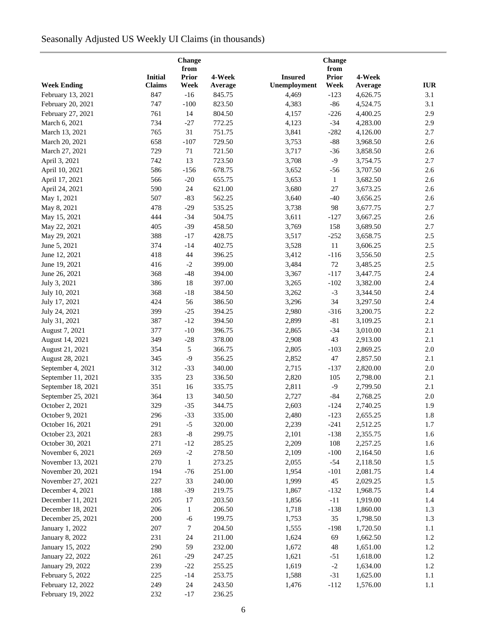# Seasonally Adjusted US Weekly UI Claims (in thousands)

|                                  |                | Change<br>from |         |                | Change<br>from |          |                                  |
|----------------------------------|----------------|----------------|---------|----------------|----------------|----------|----------------------------------|
|                                  | <b>Initial</b> | <b>Prior</b>   | 4-Week  | <b>Insured</b> | <b>Prior</b>   | 4-Week   |                                  |
| <b>Week Ending</b>               | <b>Claims</b>  | Week           | Average | Unemployment   | Week           | Average  | $\mathbf{I}\mathbf{U}\mathbf{R}$ |
| February 13, 2021                | 847            | $-16$          | 845.75  | 4,469          | $-123$         | 4,626.75 | 3.1                              |
| February 20, 2021                | 747            | $-100$         | 823.50  | 4,383          | $-86$          | 4,524.75 | 3.1                              |
| February 27, 2021                | 761            | 14             | 804.50  | 4,157          | $-226$         | 4,400.25 | 2.9                              |
| March 6, 2021                    | 734            | $-27$          | 772.25  | 4,123          | $-34$          | 4,283.00 | 2.9                              |
| March 13, 2021                   | 765            | 31             | 751.75  | 3,841          | $-282$         | 4,126.00 | 2.7                              |
| March 20, 2021                   | 658            | $-107$         | 729.50  | 3,753          | $-88$          | 3,968.50 | 2.6                              |
| March 27, 2021                   | 729            | $71\,$         | 721.50  | 3,717          | $-36$          | 3,858.50 | 2.6                              |
| April 3, 2021                    | 742            | 13             | 723.50  | 3,708          | $-9$           | 3,754.75 | 2.7                              |
|                                  | 586            | $-156$         | 678.75  | 3,652          | $-56$          | 3,707.50 | 2.6                              |
| April 10, 2021<br>April 17, 2021 | 566            | $-20$          | 655.75  | 3,653          | $\mathbf{1}$   | 3,682.50 | 2.6                              |
| April 24, 2021                   | 590            | 24             | 621.00  | 3,680          | $27\,$         | 3,673.25 | 2.6                              |
|                                  | 507            | $-83$          | 562.25  |                | $-40$          |          | 2.6                              |
| May 1, 2021                      |                |                |         | 3,640          |                | 3,656.25 |                                  |
| May 8, 2021                      | 478            | $-29$          | 535.25  | 3,738          | 98             | 3,677.75 | 2.7                              |
| May 15, 2021                     | 444            | $-34$          | 504.75  | 3,611          | $-127$         | 3,667.25 | 2.6                              |
| May 22, 2021                     | 405            | $-39$          | 458.50  | 3,769          | 158            | 3,689.50 | 2.7                              |
| May 29, 2021                     | 388            | $-17$          | 428.75  | 3,517          | $-252$         | 3,658.75 | $2.5\,$                          |
| June 5, 2021                     | 374            | $-14$          | 402.75  | 3,528          | $11\,$         | 3,606.25 | $2.5\,$                          |
| June 12, 2021                    | 418            | 44             | 396.25  | 3,412          | $-116$         | 3,556.50 | $2.5\,$                          |
| June 19, 2021                    | 416            | $-2$           | 399.00  | 3,484          | $72\,$         | 3,485.25 | $2.5\,$                          |
| June 26, 2021                    | 368            | $-48$          | 394.00  | 3,367          | $-117$         | 3,447.75 | 2.4                              |
| July 3, 2021                     | 386            | 18             | 397.00  | 3,265          | $-102$         | 3,382.00 | 2.4                              |
| July 10, 2021                    | 368            | $-18$          | 384.50  | 3,262          | $-3$           | 3,344.50 | 2.4                              |
| July 17, 2021                    | 424            | 56             | 386.50  | 3,296          | 34             | 3,297.50 | 2.4                              |
| July 24, 2021                    | 399            | $-25$          | 394.25  | 2,980          | $-316$         | 3,200.75 | 2.2                              |
| July 31, 2021                    | 387            | $-12$          | 394.50  | 2,899          | $-81$          | 3,109.25 | 2.1                              |
| August 7, 2021                   | 377            | $-10$          | 396.75  | 2,865          | $-34$          | 3,010.00 | 2.1                              |
| August 14, 2021                  | 349            | $-28$          | 378.00  | 2,908          | 43             | 2,913.00 | 2.1                              |
| August 21, 2021                  | 354            | $\sqrt{5}$     | 366.75  | 2,805          | $-103$         | 2,869.25 | $2.0\,$                          |
| August 28, 2021                  | 345            | $-9$           | 356.25  | 2,852          | 47             | 2,857.50 | 2.1                              |
| September 4, 2021                | 312            | $-33$          | 340.00  | 2,715          | $-137$         | 2,820.00 | $2.0\,$                          |
| September 11, 2021               | 335            | 23             | 336.50  | 2,820          | 105            | 2,798.00 | 2.1                              |
| September 18, 2021               | 351            | 16             | 335.75  | 2,811          | $-9$           | 2,799.50 | 2.1                              |
| September 25, 2021               | 364            | 13             | 340.50  | 2,727          | $-84$          | 2,768.25 | 2.0                              |
| October 2, 2021                  | 329            | $-35$          | 344.75  | 2,603          | $-124$         | 2,740.25 | 1.9                              |
| October 9, 2021                  | 296            | $-33$          | 335.00  | 2,480          | $-123$         | 2,655.25 | 1.8                              |
| October 16, 2021                 | 291            | $-5$           | 320.00  | 2,239          | $-241$         | 2,512.25 | 1.7                              |
| October 23, 2021                 | 283            | $\text{-}8$    | 299.75  | 2,101          | $-138$         | 2,355.75 | 1.6                              |
| October 30, 2021                 | 271            | $-12$          | 285.25  | 2,209          | 108            | 2,257.25 | 1.6                              |
| November 6, 2021                 | 269            | $-2$           | 278.50  | 2,109          | $-100$         | 2,164.50 | 1.6                              |
| November 13, 2021                | 270            | $\mathbf{1}$   | 273.25  | 2,055          | $-54$          | 2,118.50 | 1.5                              |
| November 20, 2021                | 194            | $-76$          | 251.00  | 1,954          | $-101$         | 2,081.75 | 1.4                              |
| November 27, 2021                | 227            | 33             | 240.00  | 1,999          | 45             | 2,029.25 | 1.5                              |
| December 4, 2021                 | 188            | $-39$          | 219.75  | 1,867          | $-132$         | 1,968.75 | 1.4                              |
| December 11, 2021                | 205            | 17             | 203.50  | 1,856          | $-11$          | 1,919.00 | 1.4                              |
|                                  |                |                |         |                |                |          |                                  |
| December 18, 2021                | 206            | $\mathbf{1}$   | 206.50  | 1,718          | $-138$         | 1,860.00 | 1.3                              |
| December 25, 2021                | 200            | $-6$           | 199.75  | 1,753          | 35             | 1,798.50 | 1.3                              |
| January 1, 2022                  | 207            | 7              | 204.50  | 1,555          | $-198$         | 1,720.50 | $1.1\,$                          |
| <b>January 8, 2022</b>           | 231            | 24             | 211.00  | 1,624          | 69             | 1,662.50 | 1.2                              |
| January 15, 2022                 | 290            | 59             | 232.00  | 1,672          | 48             | 1,651.00 | 1.2                              |
| January 22, 2022                 | 261            | $-29$          | 247.25  | 1,621          | $-51$          | 1,618.00 | $1.2\,$                          |
| January 29, 2022                 | 239            | $-22$          | 255.25  | 1,619          | $-2$           | 1,634.00 | 1.2                              |
| February 5, 2022                 | 225            | $-14$          | 253.75  | 1,588          | $-31$          | 1,625.00 | 1.1                              |
| February 12, 2022                | 249            | 24             | 243.50  | 1,476          | $-112$         | 1,576.00 | 1.1                              |
| February 19, 2022                | 232            | $-17$          | 236.25  |                |                |          |                                  |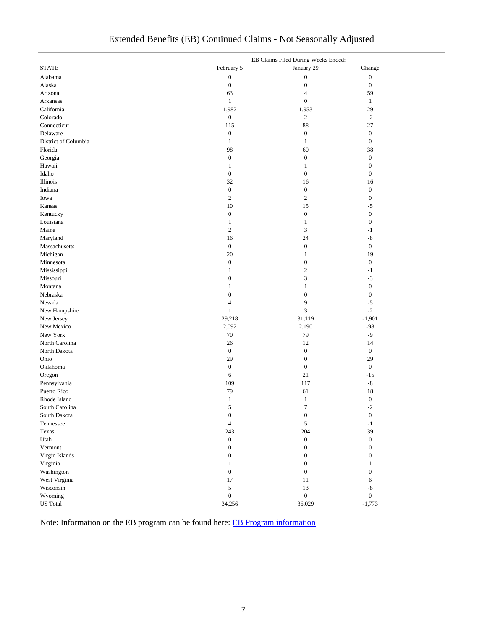| Extended Benefits (EB) Continued Claims - Not Seasonally Adjusted |  |  |
|-------------------------------------------------------------------|--|--|
|                                                                   |  |  |

|                      | EB Claims Filed During Weeks Ended: |                  |                  |  |
|----------------------|-------------------------------------|------------------|------------------|--|
| <b>STATE</b>         | February 5                          | January 29       | Change           |  |
| Alabama              | $\boldsymbol{0}$                    | $\boldsymbol{0}$ | $\boldsymbol{0}$ |  |
| Alaska               | $\boldsymbol{0}$                    | $\boldsymbol{0}$ | $\boldsymbol{0}$ |  |
| Arizona              | 63                                  | 4                | 59               |  |
| Arkansas             | $\mathbf{1}$                        | $\boldsymbol{0}$ | $\mathbf{1}$     |  |
| California           | 1,982                               | 1,953            | 29               |  |
| Colorado             | $\boldsymbol{0}$                    | $\sqrt{2}$       | $-2$             |  |
| Connecticut          | 115                                 | 88               | 27               |  |
| Delaware             | $\boldsymbol{0}$                    | $\boldsymbol{0}$ | $\boldsymbol{0}$ |  |
| District of Columbia | $\mathbf{1}$                        | $\mathbf{1}$     | $\boldsymbol{0}$ |  |
| Florida              | 98                                  | 60               | 38               |  |
| Georgia              | $\boldsymbol{0}$                    | $\boldsymbol{0}$ | $\boldsymbol{0}$ |  |
| Hawaii               | $\mathbf{1}$                        | 1                | $\boldsymbol{0}$ |  |
| Idaho                | $\boldsymbol{0}$                    | $\boldsymbol{0}$ | $\boldsymbol{0}$ |  |
| Illinois             | 32                                  | 16               | 16               |  |
| Indiana              | $\boldsymbol{0}$                    | $\boldsymbol{0}$ | $\boldsymbol{0}$ |  |
| Iowa                 | $\mathbf{2}$                        | $\mathbf{2}$     | $\mathbf{0}$     |  |
| Kansas               | 10                                  | 15               | $-5$             |  |
| Kentucky             | $\boldsymbol{0}$                    | $\boldsymbol{0}$ | $\boldsymbol{0}$ |  |
| Louisiana            | $\mathbf{1}$                        | 1                | $\mathbf{0}$     |  |
| Maine                | $\mathbf{2}$                        | 3                | $-1$             |  |
| Maryland             | 16                                  | 24               | $-8$             |  |
| Massachusetts        | $\boldsymbol{0}$                    | $\boldsymbol{0}$ | $\boldsymbol{0}$ |  |
| Michigan             | 20                                  | 1                | 19               |  |
| Minnesota            | $\boldsymbol{0}$                    | $\boldsymbol{0}$ | $\mathbf{0}$     |  |
| Mississippi          | $\mathbf{1}$                        | $\mathbf{2}$     | $-1$             |  |
| Missouri             | $\mathbf{0}$                        | 3                | $-3$             |  |
| Montana              | $\mathbf{1}$                        | $\mathbf{1}$     | $\boldsymbol{0}$ |  |
| Nebraska             | $\boldsymbol{0}$                    | $\boldsymbol{0}$ | $\boldsymbol{0}$ |  |
| Nevada               | $\overline{4}$                      | 9                | -5               |  |
| New Hampshire        | $\mathbf{1}$                        | 3                | $-2$             |  |
| New Jersey           | 29,218                              | 31,119           | $-1,901$         |  |
| New Mexico           | 2,092                               | 2,190            | $-98$            |  |
| New York             | $70\,$                              | 79               | -9               |  |
| North Carolina       | 26                                  | 12               | 14               |  |
| North Dakota         | $\boldsymbol{0}$                    | $\boldsymbol{0}$ | $\boldsymbol{0}$ |  |
| Ohio                 | 29                                  | $\boldsymbol{0}$ | 29               |  |
| Oklahoma             | $\boldsymbol{0}$                    | $\boldsymbol{0}$ | $\mathbf{0}$     |  |
| Oregon               | 6                                   | 21               | $-15$            |  |
| Pennsylvania         | 109                                 | 117              | $-8$             |  |
| Puerto Rico          | 79                                  | 61               | 18               |  |
| Rhode Island         | $\mathbf{1}$                        | $\mathbf{1}$     | $\boldsymbol{0}$ |  |
| South Carolina       | 5                                   | 7                | $-2$             |  |
| South Dakota         | $\boldsymbol{0}$                    | $\boldsymbol{0}$ | $\boldsymbol{0}$ |  |
| Tennessee            | $\overline{4}$                      | $\sqrt{5}$       | $^{\rm -1}$      |  |
| Texas                | 243                                 | 204              | 39               |  |
| Utah                 | $\boldsymbol{0}$                    | $\boldsymbol{0}$ | $\boldsymbol{0}$ |  |
| Vermont              | $\boldsymbol{0}$                    | $\boldsymbol{0}$ | $\boldsymbol{0}$ |  |
| Virgin Islands       | $\boldsymbol{0}$                    | $\boldsymbol{0}$ | $\boldsymbol{0}$ |  |
| Virginia             | $\mathbf{1}$                        | $\boldsymbol{0}$ | $\mathbf{1}$     |  |
| Washington           | $\boldsymbol{0}$                    | $\boldsymbol{0}$ | $\boldsymbol{0}$ |  |
| West Virginia        | 17                                  | 11               | 6                |  |
| Wisconsin            | 5                                   | 13               | $\mbox{-}8$      |  |
| Wyoming              | $\boldsymbol{0}$                    | $\boldsymbol{0}$ | $\mathbf{0}$     |  |
| <b>US</b> Total      | 34,256                              | 36,029           | $-1,773$         |  |
|                      |                                     |                  |                  |  |

Note: Information on the EB program can be found here: [EB Program information](https://oui.doleta.gov/unemploy/extenben.asp)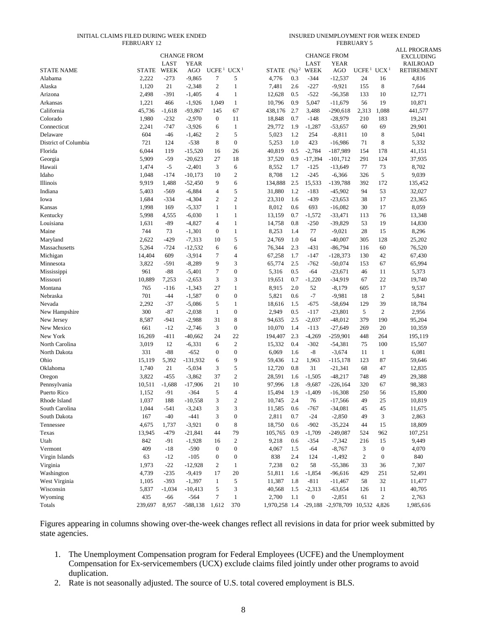#### INITIAL CLAIMS FILED DURING WEEK ENDED FEBRUARY 12

INSURED UNEMPLOYMENT FOR WEEK ENDED FEBRUARY 5

|                      |              | LAST     | <b>CHANGE FROM</b><br><b>YEAR</b> |                   |                  |              |                   | LAST             | <b>CHANGE FROM</b><br>YEAR                    |                   |                  | <b>ALL PROGRAMS</b><br>EXCLUDING<br><b>RAILROAD</b> |
|----------------------|--------------|----------|-----------------------------------|-------------------|------------------|--------------|-------------------|------------------|-----------------------------------------------|-------------------|------------------|-----------------------------------------------------|
| <b>STATE NAME</b>    | <b>STATE</b> | WEEK     | AGO                               | UCFE <sup>1</sup> | UCX <sup>1</sup> | <b>STATE</b> | $(\frac{9}{6})^2$ | WEEK             | AGO                                           | UCFE <sup>1</sup> | UCX <sup>1</sup> | RETIREMENT                                          |
| Alabama              | 2,222        | $-273$   | $-9,865$                          | $\tau$            | 5                | 4,776        | 0.3               | $-344$           | $-12,537$                                     | 24                | 16               | 4,816                                               |
| Alaska               | 1,120        | 21       | $-2,348$                          | $\overline{2}$    | 1                | 7,481        | 2.6               | -227             | $-9,921$                                      | 155               | $\,$ 8 $\,$      | 7,644                                               |
| Arizona              | 2,498        | $-391$   | $-1,405$                          | $\overline{4}$    | 1                | 12,628       | 0.5               | -522             | $-56,358$                                     | 133               | 10               | 12,771                                              |
| Arkansas             | 1,221        | 466      | $-1,926$                          | 1,049             | $\mathbf{1}$     | 10,796       | 0.9               | 5,047            | $-11,679$                                     | 56                | 19               | 10,871                                              |
| California           | 45,736       | $-1,618$ | $-93,867$                         | 145               | 67               | 438,176      | 2.7               | 3,488            | $-290,618$                                    | 2,313             | 1,088            | 441,577                                             |
| Colorado             | 1,980        | $-232$   | $-2,970$                          | $\boldsymbol{0}$  | 11               | 18,848       | 0.7               | $-148$           | $-28,979$                                     | 210               | 183              | 19,241                                              |
| Connecticut          | 2,241        | $-747$   | $-3,926$                          | 6                 | 1                | 29,772       | 1.9               | $-1,287$         | $-53,657$                                     | 60                | 69               | 29,901                                              |
| Delaware             | 604          | $-46$    | $-1,462$                          | $\overline{c}$    | 5                | 5,023        | 1.2               | 254              | $-8,811$                                      | 10                | $\,$ 8 $\,$      | 5,041                                               |
| District of Columbia | 721          | 124      | $-538$                            | 8                 | $\boldsymbol{0}$ | 5,253        | 1.0               | 423              | $-16,986$                                     | 71                | 8                | 5,332                                               |
| Florida              | 6,044        | 119      | $-15,520$                         | 16                | 26               | 40,819       | 0.5               | $-2,784$         | $-187,989$                                    | 154               | 178              | 41,151                                              |
| Georgia              | 5,909        | $-59$    | $-20,623$                         | 27                | 18               | 37,520       | 0.9               | $-17,394$        | $-101,712$                                    | 291               | 124              | 37,935                                              |
| Hawaii               | 1,474        | $-5$     | $-2,401$                          | 3                 | 6                | 8,552        | 1.7               | $-125$           | $-13,649$                                     | 77                | 73               | 8,702                                               |
| Idaho                | 1,048        | $-174$   | $-10,173$                         | 10                | $\overline{c}$   | 8,708        | 1.2               | -245             | $-6,366$                                      | 326               | 5                | 9,039                                               |
| Illinois             | 9,919        | 1,488    | $-52,450$                         | 9                 | 6                | 134,888      | 2.5               | 15,533           | $-139,788$                                    | 392               | 172              | 135,452                                             |
| Indiana              | 5,403        | $-569$   | $-6,884$                          | $\overline{4}$    | 5                | 31,880       | 1.2               | $-183$           | $-45,902$                                     | 94                | 53               | 32,027                                              |
| Iowa                 | 1,684        | $-334$   | $-4,304$                          | $\overline{2}$    | $\overline{c}$   | 23,310       | 1.6               | -439             | $-23,653$                                     | 38                | 17               | 23,365                                              |
| Kansas               | 1,998        | 169      | $-5,337$                          | $\mathbf{1}$      | $\mathbf{1}$     | 8,012        | 0.6               | 693              | $-16,082$                                     | 30                | 17               | 8,059                                               |
| Kentucky             | 5,998        | 4,555    | $-6,030$                          | 1                 | 1                | 13,159       | 0.7               | $-1,572$         | $-33,471$                                     | 113               | 76               | 13,348                                              |
| Louisiana            | 1,631        | -89      | $-4,827$                          | $\overline{4}$    | $\mathbf{1}$     | 14,758       | 0.8               | $-250$           | $-39,829$                                     | 53                | 19               | 14,830                                              |
| Maine                | 744          | 73       | $-1,301$                          | $\mathbf{0}$      | $\mathbf{1}$     | 8,253        | 1.4               | 77               | $-9,021$                                      | 28                | 15               | 8,296                                               |
| Maryland             | 2,622        | $-429$   | $-7,313$                          | 10                | 5                | 24,769       | 1.0               | 64               | $-40,007$                                     | 305               | 128              | 25,202                                              |
| Massachusetts        | 5,264        | $-724$   | $-12,532$                         | 6                 | 6                | 76,344       | 2.3               | -431             | $-86,794$                                     | 116               | 60               | 76,520                                              |
| Michigan             | 14,404       | 609      | $-3,914$                          | 7                 | $\overline{4}$   | 67,258       | 1.7               | -147             | $-128,373$                                    | 130               | 42               | 67,430                                              |
| Minnesota            | 3,822        | $-591$   | $-8,289$                          | 9                 | 3                | 65,774       | 2.5               | -762             | $-50,074$                                     | 153               | 67               | 65,994                                              |
| Mississippi          | 961          | $-88$    | $-5,401$                          | $\tau$            | $\boldsymbol{0}$ | 5,316        | 0.5               | -64              | $-23,671$                                     | 46                | 11               | 5,373                                               |
| Missouri             | 10,889       | 7,253    | $-2,653$                          | 3                 | 3                | 19,651       | 0.7               | $-1,220$         | $-34,919$                                     | 67                | $22\,$           | 19,740                                              |
| Montana              | 765          | $-116$   | $-1,343$                          | 27                | $\mathbf{1}$     | 8,915        | 2.0               | 52               | $-8,179$                                      | 605               | 17               | 9,537                                               |
| Nebraska             | 701          | $-44$    | $-1,587$                          | $\theta$          | $\boldsymbol{0}$ | 5,821        | 0.6               | $-7$             | $-9,981$                                      | 18                | $\mathfrak{2}$   | 5,841                                               |
| Nevada               | 2,292        | $-37$    | $-5,086$                          | 5                 | 1                | 18,616       | 1.5               | $-675$           | $-58,694$                                     | 129               | 39               | 18,784                                              |
| New Hampshire        | 300          | $-87$    | $-2,038$                          | $\mathbf{1}$      | $\boldsymbol{0}$ | 2,949        | 0.5               | $-117$           | $-23,801$                                     | 5                 | $\overline{c}$   | 2,956                                               |
| New Jersey           | 8,587        | $-941$   | $-2,988$                          | 31                | 8                | 94,635       | 2.5               | $-2,037$         | $-48,012$                                     | 379               | 190              | 95,204                                              |
| New Mexico           | 661          | $-12$    | $-2,746$                          | 3                 | $\boldsymbol{0}$ | 10,070       | 1.4               | $-113$           | $-27,649$                                     | 269               | 20               | 10,359                                              |
| New York             | 16,269       | -411     | $-40,662$                         | 24                | 22               | 194,407      | 2.3               | $-4,269$         | $-259,901$                                    | 448               | 264              | 195,119                                             |
| North Carolina       | 3,019        | 12       | $-6,331$                          | 6                 | $\boldsymbol{2}$ | 15,332       | 0.4               | -302             | $-54,381$                                     | 75                | 100              | 15,507                                              |
| North Dakota         | 331          | $-88$    | $-652$                            | $\boldsymbol{0}$  | $\boldsymbol{0}$ | 6,069        | 1.6               | -8               | $-3,674$                                      | 11                | $\mathbf{1}$     | 6,081                                               |
| Ohio                 | 15,119       | 5,392    | $-131,932$                        | 6                 | 9                | 59,436       | 1.2               | 1,963            | $-115,178$                                    | 123               | 87               | 59,646                                              |
| Oklahoma             | 1,740        | 21       | $-5,034$                          | 3                 | 5                | 12,720       | 0.8               | 31               | $-21,341$                                     | 68                | 47               | 12,835                                              |
| Oregon               | 3,822        | $-455$   | $-3,862$                          | 37                | $\boldsymbol{2}$ | 28,591       | 1.6               | $-1,505$         | $-48,217$                                     | 748               | 49               | 29,388                                              |
| Pennsylvania         | 10,511       | $-1,688$ | $-17,906$                         | 21                | 10               | 97,996       | 1.8               | $-9,687$         | $-226,164$                                    | 320               | 67               | 98,383                                              |
| Puerto Rico          | 1,152        | $-91$    | $-364$                            | 5                 | $\overline{4}$   | 15,494       | 1.9               | $-1,409$         | $-16,308$                                     | 250               | 56               | 15,800                                              |
| Rhode Island         | 1,037        | 188      | $-10,558$                         | 3                 | $\overline{2}$   | 10,745       | 2.4               | 76               | $-17,566$                                     | 49                | 25               | 10,819                                              |
| South Carolina       | 1,044        | $-541$   | $-3,243$                          | 3                 | 3                | 11,585       | 0.6               | $-767$           | $-34,081$                                     | 45                | 45               | 11,675                                              |
| South Dakota         | 167          | $-40$    | $-441$                            | 3                 | $\boldsymbol{0}$ | 2,811        | 0.7               | $-24$            | $-2,850$                                      | 49                | 3                | 2,863                                               |
| Tennessee            | 4,675        | 1,737    | $-3,921$                          | $\boldsymbol{0}$  | 8                | 18,750       | 0.6               | $-902$           | $-35,224$                                     | 44                | 15               | 18,809                                              |
| Texas                | 13,945       | $-479$   | $-21,841$                         | 44                | 79               | 105,765      | 0.9               | $-1,709$         | $-249,087$                                    | 524               | 962              | 107,251                                             |
| Utah                 | 842          | $-91$    | $-1,928$                          | 16                | 2                | 9,218        | 0.6               | $-354$           | $-7,342$                                      | 216               | 15               | 9,449                                               |
| Vermont              | 409          | $-18$    | $-590$                            | $\mathbf{0}$      | $\boldsymbol{0}$ | 4,067        | 1.5               | -64              | $-8,767$                                      | $\mathfrak{Z}$    | $\boldsymbol{0}$ | 4,070                                               |
| Virgin Islands       | 63           | $-12$    | $-105$                            | $\boldsymbol{0}$  | $\boldsymbol{0}$ | 838          | 2.4               | 124              | $-1,492$                                      | $\mathbf{2}$      | $\boldsymbol{0}$ | 840                                                 |
| Virginia             | 1,973        | $-22$    | $-12,928$                         | $\boldsymbol{2}$  | $\mathbf{1}$     | 7,238        | 0.2               | 58               | $-55,386$                                     | 33                | 36               | 7,307                                               |
| Washington           | 4,739        | $-235$   | $-9,419$                          | 17                | 20               | 51,811       | 1.6               | $-1,854$         | $-96,616$                                     | 429               | 251              | 52,491                                              |
| West Virginia        | 1,105        | $-393$   | $-1,397$                          | $\mathbf{1}$      | 5                | 11,387       | 1.8               | $-811$           | $-11,467$                                     | 58                | $32\,$           | 11,477                                              |
| Wisconsin            | 5,837        | $-1,034$ | $-10,413$                         | $\sqrt{5}$        | 3                | 40,568       | 1.5               | $-2,313$         | $-63,654$                                     | 126               | 11               | 40,705                                              |
| Wyoming              | 435          | -66      | $-564$                            | $\boldsymbol{7}$  | $\mathbf{1}$     | 2,700        | 1.1               | $\boldsymbol{0}$ | $-2,851$                                      | 61                | $\overline{c}$   | 2,763                                               |
| Totals               | 239,697      | 8,957    | $-588,138$                        | 1,612             | 370              |              |                   |                  | 1,970,258 1.4 -29,188 -2,978,709 10,532 4,826 |                   |                  | 1,985,616                                           |
|                      |              |          |                                   |                   |                  |              |                   |                  |                                               |                   |                  |                                                     |

Figures appearing in columns showing over-the-week changes reflect all revisions in data for prior week submitted by state agencies.

- 1. The Unemployment Compensation program for Federal Employees (UCFE) and the Unemployment Compensation for Ex-servicemembers (UCX) exclude claims filed jointly under other programs to avoid duplication.
- 2. Rate is not seasonally adjusted. The source of U.S. total covered employment is BLS.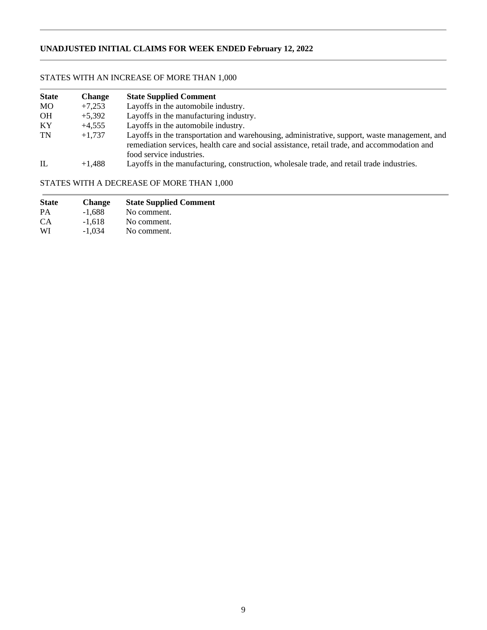# **UNADJUSTED INITIAL CLAIMS FOR WEEK ENDED February 12, 2022**

# STATES WITH AN INCREASE OF MORE THAN 1,000

| <b>State</b> | <b>Change</b> | <b>State Supplied Comment</b>                                                                                                                                                                                             |
|--------------|---------------|---------------------------------------------------------------------------------------------------------------------------------------------------------------------------------------------------------------------------|
| MO.          | $+7,253$      | Layoffs in the automobile industry.                                                                                                                                                                                       |
| <b>OH</b>    | $+5,392$      | Layoffs in the manufacturing industry.                                                                                                                                                                                    |
| KY           | $+4.555$      | Layoffs in the automobile industry.                                                                                                                                                                                       |
| <b>TN</b>    | $+1.737$      | Layoffs in the transportation and warehousing, administrative, support, waste management, and<br>remediation services, health care and social assistance, retail trade, and accommodation and<br>food service industries. |
| IL           | $+1.488$      | Layoffs in the manufacturing, construction, wholesale trade, and retail trade industries.                                                                                                                                 |

# STATES WITH A DECREASE OF MORE THAN 1,000

| <b>State</b> | <b>Change</b> | <b>State Supplied Comment</b> |
|--------------|---------------|-------------------------------|
| PA           | $-1,688$      | No comment.                   |
| CA.          | $-1.618$      | No comment.                   |
| WI           | $-1.034$      | No comment.                   |